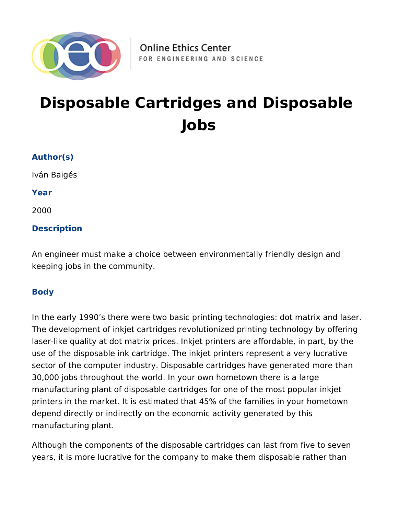

# **Disposable Cartridges and Disposable Jobs**

#### **Author(s)**

Iván Baigés

**Year**

2000

#### **Description**

An engineer must make a choice between environmentally friendly design and keeping jobs in the community.

#### **Body**

In the early 1990's there were two basic printing technologies: dot matrix and laser. The development of inkjet cartridges revolutionized printing technology by offering laser-like quality at dot matrix prices. Inkjet printers are affordable, in part, by the use of the disposable ink cartridge. The inkjet printers represent a very lucrative sector of the computer industry. Disposable cartridges have generated more than 30,000 jobs throughout the world. In your own hometown there is a large manufacturing plant of disposable cartridges for one of the most popular inkjet printers in the market. It is estimated that 45% of the families in your hometown depend directly or indirectly on the economic activity generated by this manufacturing plant.

Although the components of the disposable cartridges can last from five to seven years, it is more lucrative for the company to make them disposable rather than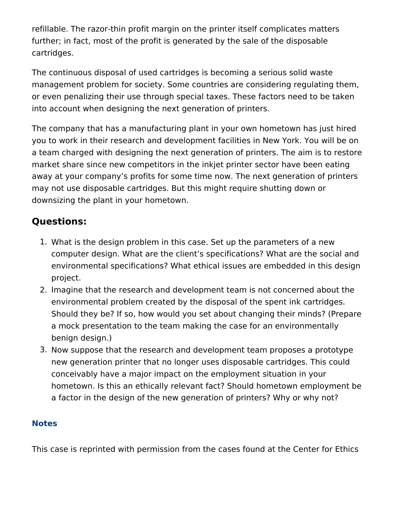refillable. The razor-thin profit margin on the printer itself complicates matters further; in fact, most of the profit is generated by the sale of the disposable cartridges.

The continuous disposal of used cartridges is becoming a serious solid waste management problem for society. Some countries are considering regulating them, or even penalizing their use through special taxes. These factors need to be taken into account when designing the next generation of printers.

The company that has a manufacturing plant in your own hometown has just hired you to work in their research and development facilities in New York. You will be on a team charged with designing the next generation of printers. The aim is to restore market share since new competitors in the inkjet printer sector have been eating away at your company's profits for some time now. The next generation of printers may not use disposable cartridges. But this might require shutting down or downsizing the plant in your hometown.

# **Questions:**

- 1. What is the design problem in this case. Set up the parameters of a new computer design. What are the client's specifications? What are the social and environmental specifications? What ethical issues are embedded in this design project.
- 2. Imagine that the research and development team is not concerned about the environmental problem created by the disposal of the spent ink cartridges. Should they be? If so, how would you set about changing their minds? (Prepare a mock presentation to the team making the case for an environmentally benign design.)
- 3. Now suppose that the research and development team proposes a prototype new generation printer that no longer uses disposable cartridges. This could conceivably have a major impact on the employment situation in your hometown. Is this an ethically relevant fact? Should hometown employment be a factor in the design of the new generation of printers? Why or why not?

#### **Notes**

This case is reprinted with permission from the cases found at the Center for Ethics